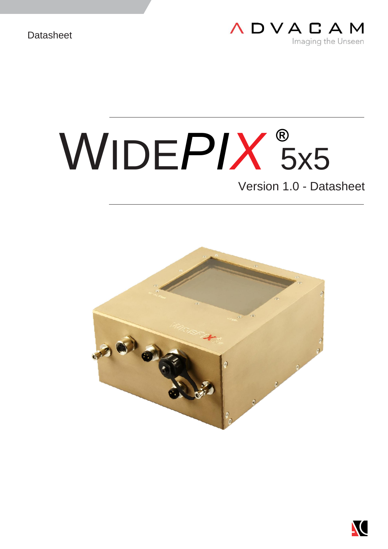

# WIDE*PIX* 5x5 **®**Version 1.0 - Datasheet



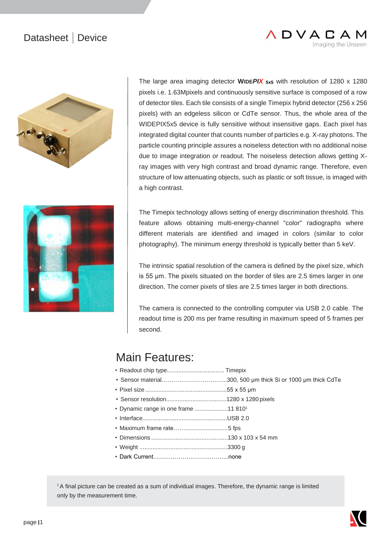#### Datasheet | Device





The large area imaging detector **WIDE***PIX* **5x5** with resolution of 1280 x 1280 pixels i.e. 1.63Mpixels and continuously sensitive surface is composed of a row of detector tiles. Each tile consists of a single Timepix hybrid detector (256 x 256 pixels) with an edgeless silicon or CdTe sensor. Thus, the whole area of the WIDEPIX5x5 device is fully sensitive without insensitive gaps. Each pixel has integrated digital counter that counts number of particles e.g. X-ray photons. The particle counting principle assures a noiseless detection with no additional noise due to image integration or readout. The noiseless detection allows getting Xray images with very high contrast and broad dynamic range. Therefore, even structure of low attenuating objects, such as plastic or soft tissue, is imaged with a high contrast.

**ADVACAM** 

Imaging the Unseen

The Timepix technology allows setting of energy discrimination threshold. This feature allows obtaining multi-energy-channel "color" radiographs where different materials are identified and imaged in colors (similar to color photography). The minimum energy threshold is typically better than 5 keV.

The intrinsic spatial resolution of the camera is defined by the pixel size, which is 55 µm. The pixels situated on the border of tiles are 2.5 times larger in one direction. The corner pixels of tiles are 2.5 times larger in both directions.

The camera is connected to the controlling computer via USB 2.0 cable. The readout time is 200 ms per frame resulting in maximum speed of 5 frames per second.

#### Main Features:

- Readout chip type................................... Timepix
- Sensor material…………………………....300, 500 µm thick Si or 1000 µm thick CdTe
- Pixel size ..................................................55 x 55 μm
- Sensor resolution.....................................1280 x 1280 pixels
- Dynamic range in one frame ....................11 810<sup>1</sup>
- Interface....................................................USB 2.0
- Maximum frame rate……..........................5 fps
- Dimensions ...............................................130 x 103 x 54 mm
- Weight ......................................................3300 g
- Dark Current………………………………...none

<sup>1</sup>A final picture can be created as a sum of individual images. Therefore, the dynamic range is limited only by the measurement time.

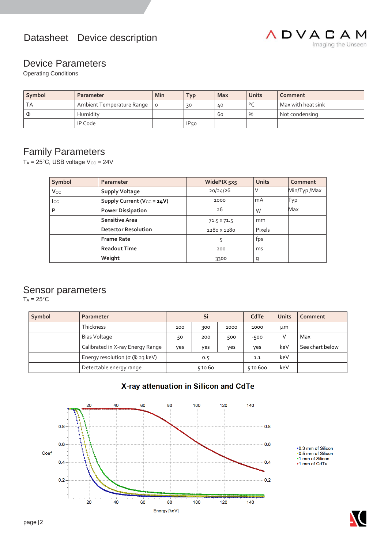



#### Device Parameters

Operating Conditions

| Symbol | Parameter                 | Min | <b>Typ</b>       | <b>Max</b> | Units   | Comment            |
|--------|---------------------------|-----|------------------|------------|---------|--------------------|
| ТA     | Ambient Temperature Range |     | 30               | 40         | $\circ$ | Max with heat sink |
| $\Phi$ | Humidity                  |     |                  | 60         | $\%$    | Not condensing     |
|        | <b>IP Code</b>            |     | IP <sub>50</sub> |            |         |                    |

#### Family Parameters

 $T_A = 25^{\circ}$ C, USB voltage  $V_{CC} = 24V$ 

| Symbol                | Parameter                              | WidePIX 5x5 | <b>Units</b> | Comment     |
|-----------------------|----------------------------------------|-------------|--------------|-------------|
| <b>V<sub>cc</sub></b> | <b>Supply Voltage</b>                  | 20/24/26    | ν            | Min/Typ/Max |
| $_{\rm lcc}$          | Supply Current (V <sub>CC</sub> = 24V) | 1000        | mA           | Тур         |
| P                     | <b>Power Dissipation</b>               | 26          | W            | Max         |
|                       | <b>Sensitive Area</b>                  | 71.5 X 71.5 | mm           |             |
|                       | <b>Detector Resolution</b>             | 1280 x 1280 | Pixels       |             |
|                       | <b>Frame Rate</b>                      | 5           | fps          |             |
|                       | <b>Readout Time</b>                    | 200         | ms           |             |
|                       | Weight                                 | 3300        | g            |             |

#### Sensor parameters

 $T_A$  = 25°C

| Symbol | Parameter                              | Si        |     |          | CdTe   | <b>Units</b> | Comment         |
|--------|----------------------------------------|-----------|-----|----------|--------|--------------|-----------------|
|        | <b>Thickness</b>                       | 100       | 300 | 1000     | 1000   | μm           |                 |
|        | Bias Voltage                           | 50        | 200 | 500      | $-500$ |              | Max             |
|        | Calibrated in X-ray Energy Range       | ves       | ves | ves      | ves    | keV          | See chart below |
|        | Energy resolution ( $\sigma$ @ 23 keV) | 0.5       |     | 1.1      | keV    |              |                 |
|        | Detectable energy range                | $5$ to 60 |     | 5 to 600 | keV    |              |                 |



X-ray attenuation in Silicon and CdTe

+1 mm of Silicon<br>+1 mm of CdTe

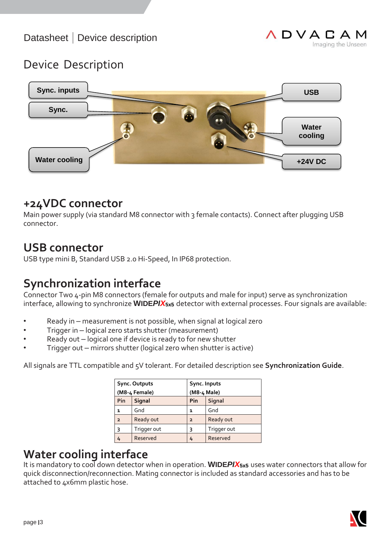## Device Description



## **+24VDC connector**

Main power supply (via standard M8 connector with 3 female contacts). Connect after plugging USB connector.

#### **USB connector**

USB type mini B, Standard USB 2.0 Hi-Speed, In IP68 protection.

## **Synchronization interface**

Connector Two 4-pin M8 connectors (female for outputs and male for input) serve as synchronization interface, allowing to synchronize **WIDE***PIX***5x5** detector with external processes. Four signals are available:

- Ready in measurement is not possible, when signal at logical zero
- Trigger in logical zero starts shutter (measurement)
- Ready out logical one if device is ready to for new shutter
- Trigger out mirrors shutter (logical zero when shutter is active)

All signals are TTL compatible and 5V tolerant. For detailed description see **Synchronization Guide**.

| <b>Sync. Outputs</b> |             | Sync. Inputs   |             |  |
|----------------------|-------------|----------------|-------------|--|
| (M8-4 Female)        |             | (M8-4 Male)    |             |  |
| Pin                  | Signal      | Pin            | Signal      |  |
| 1                    | Gnd         | 1              | Gnd         |  |
| $\overline{2}$       | Ready out   | $\overline{2}$ | Ready out   |  |
| ٦                    | Trigger out | ٦              | Trigger out |  |
|                      | Reserved    | 4              | Reserved    |  |

## **Water cooling interface**

It is mandatory to cool down detector when in operation. **WIDE***PIX***5x5** uses water connectors that allow for quick disconnection/reconnection. Mating connector is included as standard accessories and has to be attached to 4x6mm plastic hose.

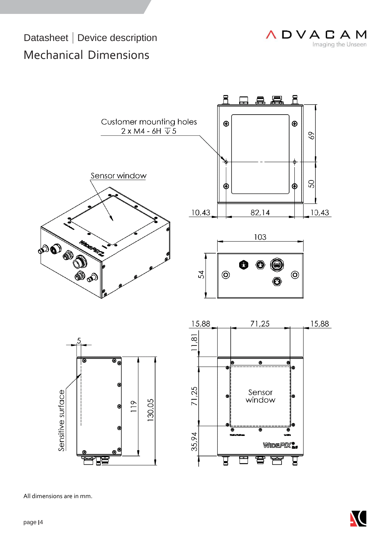# Datasheet | Device description Mechanical Dimensions





All dimensions are in mm.